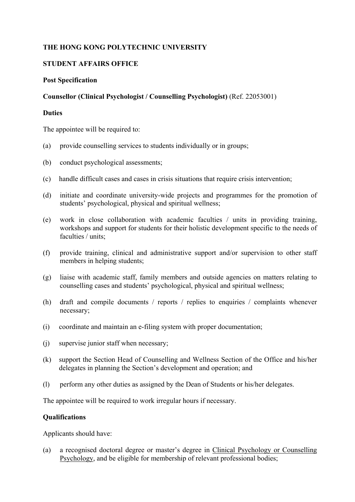# **THE HONG KONG POLYTECHNIC UNIVERSITY**

# **STUDENT AFFAIRS OFFICE**

### **Post Specification**

# **Counsellor (Clinical Psychologist / Counselling Psychologist)** (Ref. 22053001)

### **Duties**

The appointee will be required to:

- (a) provide counselling services to students individually or in groups;
- (b) conduct psychological assessments;
- (c) handle difficult cases and cases in crisis situations that require crisis intervention;
- (d) initiate and coordinate university-wide projects and programmes for the promotion of students' psychological, physical and spiritual wellness;
- (e) work in close collaboration with academic faculties / units in providing training, workshops and support for students for their holistic development specific to the needs of faculties / units;
- (f) provide training, clinical and administrative support and/or supervision to other staff members in helping students;
- (g) liaise with academic staff, family members and outside agencies on matters relating to counselling cases and students' psychological, physical and spiritual wellness;
- (h) draft and compile documents / reports / replies to enquiries / complaints whenever necessary;
- (i) coordinate and maintain an e-filing system with proper documentation;
- (j) supervise junior staff when necessary;
- (k) support the Section Head of Counselling and Wellness Section of the Office and his/her delegates in planning the Section's development and operation; and
- (l) perform any other duties as assigned by the Dean of Students or his/her delegates.

The appointee will be required to work irregular hours if necessary.

### **Qualifications**

Applicants should have:

(a) a recognised doctoral degree or master's degree in Clinical Psychology or Counselling Psychology, and be eligible for membership of relevant professional bodies;